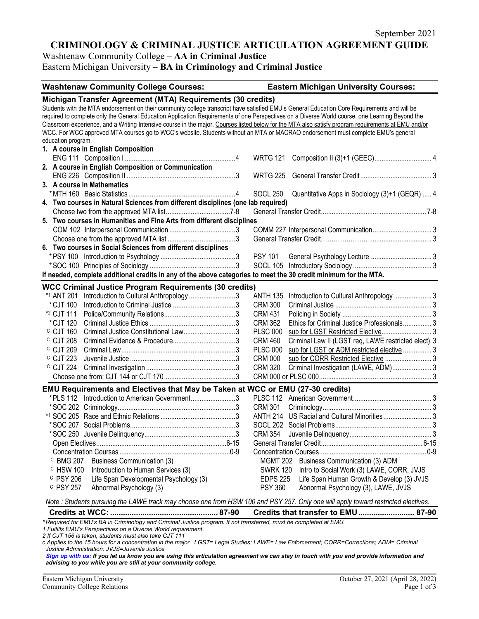# **CRIMINOLOGY & CRIMINAL JUSTICE ARTICULATION AGREEMENT GUIDE**

Washtenaw Community College – **AA in Criminal Justice**

Eastern Michigan University – **BA in Criminology and Criminal Justice**

| <b>Washtenaw Community College Courses:</b>                                                                                                                                       | <b>Eastern Michigan University Courses:</b>                           |
|-----------------------------------------------------------------------------------------------------------------------------------------------------------------------------------|-----------------------------------------------------------------------|
| Michigan Transfer Agreement (MTA) Requirements (30 credits)                                                                                                                       |                                                                       |
| Students with the MTA endorsement on their community college transcript have satisfied EMU's General Education Core Requirements and will be                                      |                                                                       |
| required to complete only the General Education Application Requirements of one Perspectives on a Diverse World course, one Learning Beyond the                                   |                                                                       |
| Classroom experience, and a Writing Intensive course in the major. Courses listed below for the MTA also satisfy program requirements at EMU and/or                               |                                                                       |
| WCC. For WCC approved MTA courses go to WCC's website. Students without an MTA or MACRAO endorsement must complete EMU's general                                                  |                                                                       |
| education program.                                                                                                                                                                |                                                                       |
| 1. A course in English Composition                                                                                                                                                |                                                                       |
|                                                                                                                                                                                   | <b>WRTG 121</b>                                                       |
| 2. A course in English Composition or Communication                                                                                                                               |                                                                       |
|                                                                                                                                                                                   | <b>WRTG 225</b>                                                       |
| 3. A course in Mathematics                                                                                                                                                        |                                                                       |
|                                                                                                                                                                                   | Quantitative Apps in Sociology (3)+1 (GEQR)  4<br><b>SOCL 250</b>     |
| 4. Two courses in Natural Sciences from different disciplines (one lab required)                                                                                                  |                                                                       |
|                                                                                                                                                                                   |                                                                       |
| 5. Two courses in Humanities and Fine Arts from different disciplines                                                                                                             |                                                                       |
|                                                                                                                                                                                   |                                                                       |
|                                                                                                                                                                                   |                                                                       |
| 6. Two courses in Social Sciences from different disciplines                                                                                                                      |                                                                       |
|                                                                                                                                                                                   | <b>PSY 101</b>                                                        |
|                                                                                                                                                                                   |                                                                       |
| If needed, complete additional credits in any of the above categories to meet the 30 credit minimum for the MTA.                                                                  |                                                                       |
| <b>WCC Criminal Justice Program Requirements (30 credits)</b>                                                                                                                     |                                                                       |
| Introduction to Cultural Anthropology 3<br>*1 ANT 201                                                                                                                             | Introduction to Cultural Anthropology  3<br>ANTH 135                  |
| *CJT 100                                                                                                                                                                          | <b>CRM 300</b>                                                        |
| *2 CJT 111                                                                                                                                                                        | <b>CRM 431</b>                                                        |
| *CJT 120                                                                                                                                                                          | <b>CRM 362</b><br>Ethics for Criminal Justice Professionals 3         |
| $c$ CJT 160<br>Criminal Justice Constitutional Law3                                                                                                                               | <b>PLSC 000</b>                                                       |
| $c$ CJT 208                                                                                                                                                                       | <b>CRM 460</b><br>Criminal Law II (LGST req, LAWE restricted elect) 3 |
| <sup>C</sup> CJT 209                                                                                                                                                              | <b>PLSC 000</b><br>sub for LGST or ADM restricted elective  3         |
| c CJT 223                                                                                                                                                                         | sub for CORR Restricted Elective  3<br><b>CRM 000</b>                 |
| $c$ CJT 224                                                                                                                                                                       | Criminal Investigation (LAWE, ADM) 3<br><b>CRM 320</b>                |
|                                                                                                                                                                                   |                                                                       |
| EMU Requirements and Electives that May be Taken at WCC or EMU (27-30 credits)                                                                                                    |                                                                       |
| *PLS 112 Introduction to American Government3                                                                                                                                     |                                                                       |
|                                                                                                                                                                                   | <b>CRM 301</b>                                                        |
|                                                                                                                                                                                   |                                                                       |
|                                                                                                                                                                                   |                                                                       |
|                                                                                                                                                                                   | <b>CRM 354</b>                                                        |
|                                                                                                                                                                                   |                                                                       |
|                                                                                                                                                                                   |                                                                       |
| <b>Business Communication (3)</b><br><sup>c</sup> BMG 207                                                                                                                         | MGMT 202 Business Communication (3) ADM                               |
| <sup>c</sup> HSW 100<br>Introduction to Human Services (3)                                                                                                                        | <b>SWRK 120</b><br>Intro to Social Work (3) LAWE, CORR, JVJS          |
| <sup>C</sup> PSY 206<br>Life Span Developmental Psychology (3)                                                                                                                    | <b>EDPS 225</b><br>Life Span Human Growth & Develop (3) JVJS          |
| <sup>c</sup> PSY 257<br>Abnormal Psychology (3)                                                                                                                                   | <b>PSY 360</b><br>Abnormal Psychology (3), LAWE, JVJS                 |
| Note : Students pursuing the LAWE track may choose one from HSW 100 and PSY 257. Only one will apply toward restricted electives.                                                 |                                                                       |
|                                                                                                                                                                                   | Credits that transfer to EMU 87-90                                    |
| *Required for EMU's BA in Criminology and Criminal Justice program. If not transferred, must be completed at EMU.<br>1 Eulille EMI Le Perspectives en a Diverse Werld requirement |                                                                       |

*1 EMU's Perspectives on a Diverse World r* 

*2 If CJT 156 is taken, students must also take CJT 111*

*c Applies to the 15 hours for a concentration in the major. LGST= Legal Studies; LAWE= Law Enforcement; CORR=Corrections; ADM= Criminal Justice Administration; JVJS=Juvenile Justice*

*[Sign up with us:](https://www.emich.edu/ccr/articulation-agreements/signup.php) If you let us know you are using this articulation agreement we can stay in touch with you and provide information and advising to you while you are still at your community college.*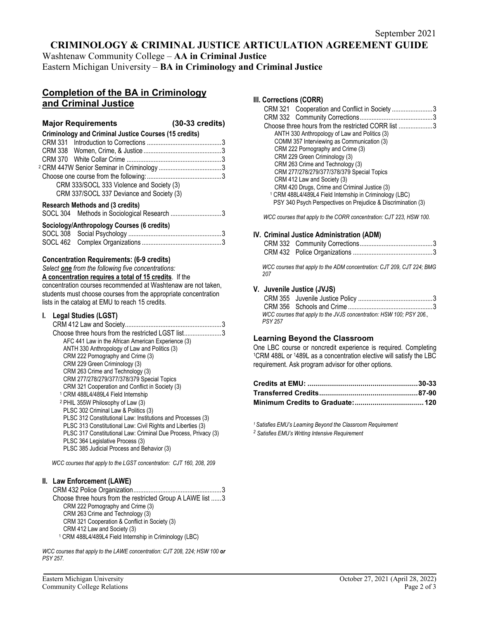## **CRIMINOLOGY & CRIMINAL JUSTICE ARTICULATION AGREEMENT GUIDE**

Washtenaw Community College – **AA in Criminal Justice** Eastern Michigan University – **BA in Criminology and Criminal Justice**

## **Completion of the BA in Criminology and Criminal Justice**

|                                                              | <b>Major Requirements</b>                                                              | $(30-33 \text{ credits})$ |
|--------------------------------------------------------------|----------------------------------------------------------------------------------------|---------------------------|
| <b>Criminology and Criminal Justice Courses (15 credits)</b> |                                                                                        |                           |
|                                                              |                                                                                        |                           |
|                                                              |                                                                                        |                           |
|                                                              |                                                                                        |                           |
|                                                              |                                                                                        |                           |
|                                                              |                                                                                        |                           |
|                                                              | CRM 333/SOCL 333 Violence and Society (3)                                              |                           |
|                                                              | CRM 337/SOCL 337 Deviance and Society (3)                                              |                           |
|                                                              | <b>Research Methods and (3 credits)</b><br>SOCL 304 Methods in Sociological Research 3 |                           |

| Sociology/Anthropology Courses (6 credits) |  |  |
|--------------------------------------------|--|--|
|                                            |  |  |
|                                            |  |  |

### **Concentration Requirements: (6-9 credits)**

*Select one from the following five concentrations:* **A concentration requires a total of 15 credits**. If the concentration courses recommended at Washtenaw are not taken, students must choose courses from the appropriate concentration lists in the catalog at EMU to reach 15 credits.

### **I. Legal Studies (LGST)**

| CRM 412 Law and Society<br>                                    |
|----------------------------------------------------------------|
| Choose three hours from the restricted LGST list3              |
| AFC 441 Law in the African American Experience (3)             |
| ANTH 330 Anthropology of Law and Politics (3)                  |
| CRM 222 Pornography and Crime (3)                              |
| CRM 229 Green Criminology (3)                                  |
| CRM 263 Crime and Technology (3)                               |
| CRM 277/278/279/377/378/379 Special Topics                     |
| CRM 321 Cooperation and Conflict in Society (3)                |
| <sup>1</sup> CRM 488L4/489L4 Field Internship                  |
| <sup>2</sup> PHIL 355W Philosophy of Law (3)                   |
| PLSC 302 Criminal Law & Politics (3)                           |
| PLSC 312 Constitutional Law: Institutions and Processes (3)    |
| PLSC 313 Constitutional Law: Civil Rights and Liberties (3)    |
| PLSC 317 Constitutional Law: Criminal Due Process, Privacy (3) |
| PLSC 364 Legislative Process (3)                               |
| PLSC 385 Judicial Process and Behavior (3)                     |

*WCC courses that apply to the LGST concentration: CJT 160, 208, 209*

### **II. Law Enforcement (LAWE)**

| Choose three hours from the restricted Group A LAWE list 3         |
|--------------------------------------------------------------------|
| CRM 222 Pornography and Crime (3)                                  |
| CRM 263 Crime and Technology (3)                                   |
| CRM 321 Cooperation & Conflict in Society (3)                      |
| CRM 412 Law and Society (3)                                        |
| <sup>1</sup> CRM 488L4/489L4 Field Internship in Criminology (LBC) |

*WCC courses that apply to the LAWE concentration: CJT 208, 224; HSW 100 or PSY 257.* 

# **III. Corrections (CORR)**

| CRM 321 Cooperation and Conflict in Society3                       |  |
|--------------------------------------------------------------------|--|
|                                                                    |  |
| Choose three hours from the restricted CORR list 3                 |  |
| ANTH 330 Anthropology of Law and Politics (3)                      |  |
| COMM 357 Interviewing as Communication (3)                         |  |
| CRM 222 Pornography and Crime (3)                                  |  |
| CRM 229 Green Criminology (3)                                      |  |
| CRM 263 Crime and Technology (3)                                   |  |
| CRM 277/278/279/377/378/379 Special Topics                         |  |
| CRM 412 Law and Society (3)                                        |  |
| CRM 420 Drugs, Crime and Criminal Justice (3)                      |  |
| <sup>1</sup> CRM 488L4/489L4 Field Internship in Criminology (LBC) |  |
| PSY 340 Psych Perspectives on Prejudice & Discrimination (3)       |  |

*WCC courses that apply to the CORR concentration: CJT 223, HSW 100.*

#### **IV. Criminal Justice Administration (ADM)**

*WCC courses that apply to the ADM concentration: CJT 209, CJT 224; BMG 207*

#### **V. Juvenile Justice (JVJS)**

| PSY 257 | WCC courses that apply to the JVJS concentration: HSW 100; PSY 206., |  |
|---------|----------------------------------------------------------------------|--|

Learning Beyond the Classroom<br>One LBC course or noncredit experience is required. Completing <sup>1</sup>CRM 488L or <sup>1</sup>489L as a concentration elective will satisfy the LBC requirement. Ask program advisor for other options.

*1 Satisfies EMU's Learning Beyond the Classroom Requirement*

*<sup>2</sup> Satisfies EMU's Writing Intensive Requirement*